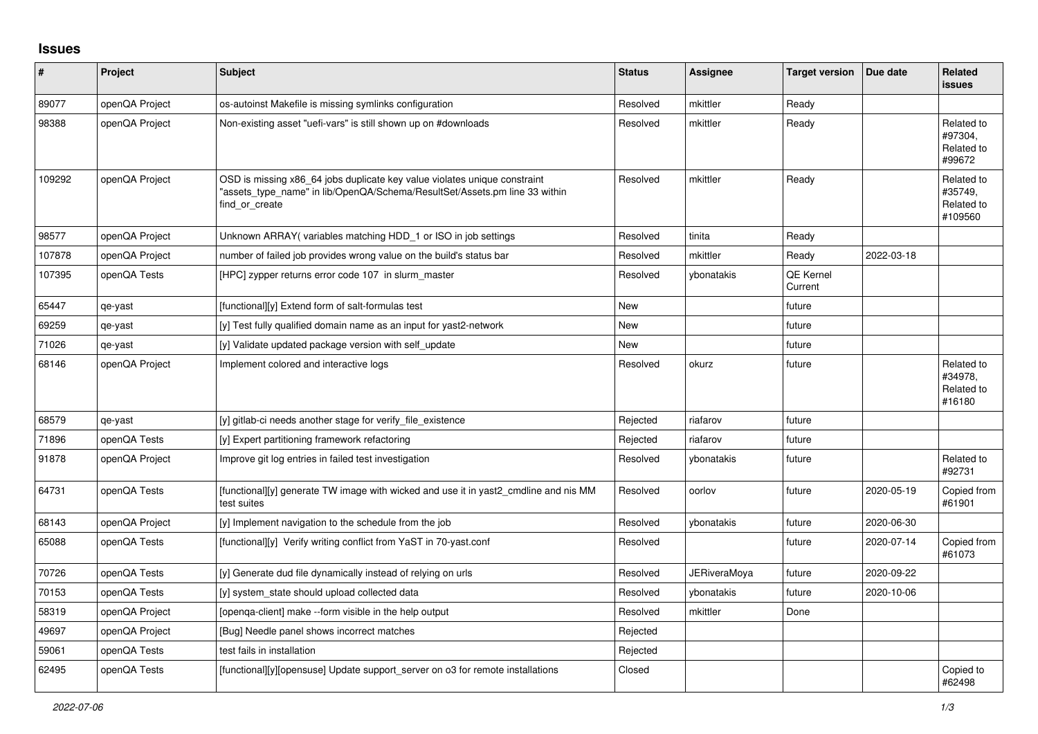## **Issues**

| #      | Project        | <b>Subject</b>                                                                                                                                                            | <b>Status</b> | <b>Assignee</b>     | <b>Target version</b> | Due date   | <b>Related</b><br><b>issues</b>                |
|--------|----------------|---------------------------------------------------------------------------------------------------------------------------------------------------------------------------|---------------|---------------------|-----------------------|------------|------------------------------------------------|
| 89077  | openQA Project | os-autoinst Makefile is missing symlinks configuration                                                                                                                    | Resolved      | mkittler            | Ready                 |            |                                                |
| 98388  | openQA Project | Non-existing asset "uefi-vars" is still shown up on #downloads                                                                                                            | Resolved      | mkittler            | Ready                 |            | Related to<br>#97304,<br>Related to<br>#99672  |
| 109292 | openQA Project | OSD is missing x86_64 jobs duplicate key value violates unique constraint<br>"assets type name" in lib/OpenQA/Schema/ResultSet/Assets.pm line 33 within<br>find or create | Resolved      | mkittler            | Ready                 |            | Related to<br>#35749.<br>Related to<br>#109560 |
| 98577  | openQA Project | Unknown ARRAY(variables matching HDD_1 or ISO in job settings                                                                                                             | Resolved      | tinita              | Ready                 |            |                                                |
| 107878 | openQA Project | number of failed job provides wrong value on the build's status bar                                                                                                       | Resolved      | mkittler            | Ready                 | 2022-03-18 |                                                |
| 107395 | openQA Tests   | [HPC] zypper returns error code 107 in slurm master                                                                                                                       | Resolved      | ybonatakis          | QE Kernel<br>Current  |            |                                                |
| 65447  | qe-yast        | [functional][y] Extend form of salt-formulas test                                                                                                                         | New           |                     | future                |            |                                                |
| 69259  | qe-yast        | [y] Test fully qualified domain name as an input for yast2-network                                                                                                        | New           |                     | future                |            |                                                |
| 71026  | qe-yast        | [y] Validate updated package version with self update                                                                                                                     | <b>New</b>    |                     | future                |            |                                                |
| 68146  | openQA Project | Implement colored and interactive logs                                                                                                                                    | Resolved      | okurz               | future                |            | Related to<br>#34978.<br>Related to<br>#16180  |
| 68579  | qe-yast        | [y] gitlab-ci needs another stage for verify file existence                                                                                                               | Rejected      | riafarov            | future                |            |                                                |
| 71896  | openQA Tests   | [y] Expert partitioning framework refactoring                                                                                                                             | Rejected      | riafarov            | future                |            |                                                |
| 91878  | openQA Project | Improve git log entries in failed test investigation                                                                                                                      | Resolved      | vbonatakis          | future                |            | Related to<br>#92731                           |
| 64731  | openQA Tests   | [functional][y] generate TW image with wicked and use it in yast2 cmdline and nis MM<br>test suites                                                                       | Resolved      | oorlov              | future                | 2020-05-19 | Copied from<br>#61901                          |
| 68143  | openQA Project | [y] Implement navigation to the schedule from the job                                                                                                                     | Resolved      | ybonatakis          | future                | 2020-06-30 |                                                |
| 65088  | openQA Tests   | [functional][y] Verify writing conflict from YaST in 70-yast.conf                                                                                                         | Resolved      |                     | future                | 2020-07-14 | Copied from<br>#61073                          |
| 70726  | openQA Tests   | [y] Generate dud file dynamically instead of relying on urls                                                                                                              | Resolved      | <b>JERiveraMoya</b> | future                | 2020-09-22 |                                                |
| 70153  | openQA Tests   | [y] system state should upload collected data                                                                                                                             | Resolved      | ybonatakis          | future                | 2020-10-06 |                                                |
| 58319  | openQA Project | [openga-client] make --form visible in the help output                                                                                                                    | Resolved      | mkittler            | Done                  |            |                                                |
| 49697  | openQA Project | [Bug] Needle panel shows incorrect matches                                                                                                                                | Rejected      |                     |                       |            |                                                |
| 59061  | openQA Tests   | test fails in installation                                                                                                                                                | Rejected      |                     |                       |            |                                                |
| 62495  | openQA Tests   | [functional][y][opensuse] Update support server on 03 for remote installations                                                                                            | Closed        |                     |                       |            | Copied to<br>#62498                            |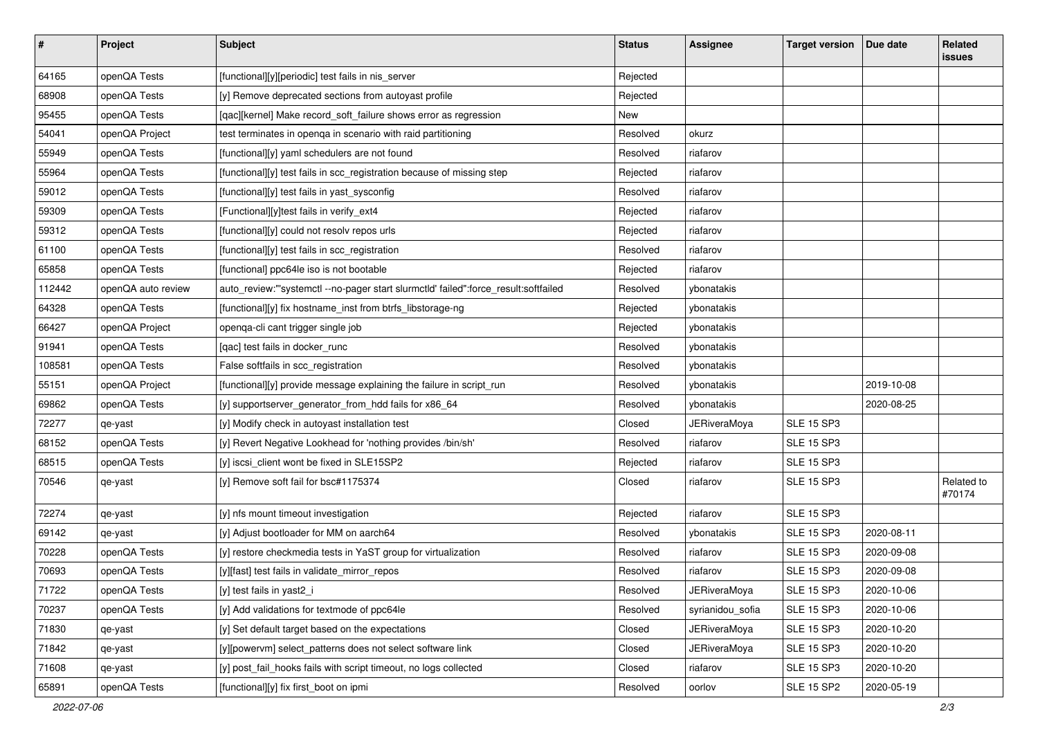| $\sharp$ | Project            | <b>Subject</b>                                                                      | <b>Status</b> | <b>Assignee</b>     | <b>Target version</b> | Due date   | Related<br><b>issues</b> |
|----------|--------------------|-------------------------------------------------------------------------------------|---------------|---------------------|-----------------------|------------|--------------------------|
| 64165    | openQA Tests       | [functional][y][periodic] test fails in nis_server                                  | Rejected      |                     |                       |            |                          |
| 68908    | openQA Tests       | [y] Remove deprecated sections from autoyast profile                                | Rejected      |                     |                       |            |                          |
| 95455    | openQA Tests       | [qac][kernel] Make record_soft_failure shows error as regression                    | New           |                     |                       |            |                          |
| 54041    | openQA Project     | test terminates in openqa in scenario with raid partitioning                        | Resolved      | okurz               |                       |            |                          |
| 55949    | openQA Tests       | [functional][y] yaml schedulers are not found                                       | Resolved      | riafarov            |                       |            |                          |
| 55964    | openQA Tests       | [functional][y] test fails in scc_registration because of missing step              | Rejected      | riafarov            |                       |            |                          |
| 59012    | openQA Tests       | [functional][y] test fails in yast_sysconfig                                        | Resolved      | riafarov            |                       |            |                          |
| 59309    | openQA Tests       | [Functional][y]test fails in verify_ext4                                            | Rejected      | riafarov            |                       |            |                          |
| 59312    | openQA Tests       | [functional][y] could not resolv repos urls                                         | Rejected      | riafarov            |                       |            |                          |
| 61100    | openQA Tests       | [functional][y] test fails in scc_registration                                      | Resolved      | riafarov            |                       |            |                          |
| 65858    | openQA Tests       | [functional] ppc64le iso is not bootable                                            | Rejected      | riafarov            |                       |            |                          |
| 112442   | openQA auto review | auto_review:"'systemctl --no-pager start slurmctld' failed":force_result:softfailed | Resolved      | vbonatakis          |                       |            |                          |
| 64328    | openQA Tests       | [functional][y] fix hostname_inst from btrfs_libstorage-ng                          | Rejected      | ybonatakis          |                       |            |                          |
| 66427    | openQA Project     | openqa-cli cant trigger single job                                                  | Rejected      | ybonatakis          |                       |            |                          |
| 91941    | openQA Tests       | [qac] test fails in docker_runc                                                     | Resolved      | ybonatakis          |                       |            |                          |
| 108581   | openQA Tests       | False softfails in scc_registration                                                 | Resolved      | ybonatakis          |                       |            |                          |
| 55151    | openQA Project     | [functional][y] provide message explaining the failure in script_run                | Resolved      | ybonatakis          |                       | 2019-10-08 |                          |
| 69862    | openQA Tests       | [y] supportserver_generator_from_hdd fails for x86_64                               | Resolved      | ybonatakis          |                       | 2020-08-25 |                          |
| 72277    | qe-yast            | [y] Modify check in autoyast installation test                                      | Closed        | <b>JERiveraMoya</b> | <b>SLE 15 SP3</b>     |            |                          |
| 68152    | openQA Tests       | [y] Revert Negative Lookhead for 'nothing provides /bin/sh'                         | Resolved      | riafarov            | <b>SLE 15 SP3</b>     |            |                          |
| 68515    | openQA Tests       | [y] iscsi_client wont be fixed in SLE15SP2                                          | Rejected      | riafarov            | <b>SLE 15 SP3</b>     |            |                          |
| 70546    | qe-yast            | [y] Remove soft fail for bsc#1175374                                                | Closed        | riafarov            | <b>SLE 15 SP3</b>     |            | Related to<br>#70174     |
| 72274    | qe-yast            | [y] nfs mount timeout investigation                                                 | Rejected      | riafarov            | <b>SLE 15 SP3</b>     |            |                          |
| 69142    | qe-yast            | [y] Adjust bootloader for MM on aarch64                                             | Resolved      | ybonatakis          | <b>SLE 15 SP3</b>     | 2020-08-11 |                          |
| 70228    | openQA Tests       | [y] restore checkmedia tests in YaST group for virtualization                       | Resolved      | riafarov            | <b>SLE 15 SP3</b>     | 2020-09-08 |                          |
| 70693    | openQA Tests       | [y][fast] test fails in validate_mirror_repos                                       | Resolved      | riafarov            | <b>SLE 15 SP3</b>     | 2020-09-08 |                          |
| 71722    | openQA Tests       | [y] test fails in yast2_i                                                           | Resolved      | JERiveraMoya        | <b>SLE 15 SP3</b>     | 2020-10-06 |                          |
| 70237    | openQA Tests       | [y] Add validations for textmode of ppc64le                                         | Resolved      | syrianidou_sofia    | <b>SLE 15 SP3</b>     | 2020-10-06 |                          |
| 71830    | qe-yast            | [y] Set default target based on the expectations                                    | Closed        | <b>JERiveraMoya</b> | <b>SLE 15 SP3</b>     | 2020-10-20 |                          |
| 71842    | qe-yast            | [y][powervm] select patterns does not select software link                          | Closed        | <b>JERiveraMoya</b> | <b>SLE 15 SP3</b>     | 2020-10-20 |                          |
| 71608    | qe-yast            | [y] post_fail_hooks fails with script timeout, no logs collected                    | Closed        | riafarov            | <b>SLE 15 SP3</b>     | 2020-10-20 |                          |
| 65891    | openQA Tests       | [functional][y] fix first_boot on ipmi                                              | Resolved      | oorlov              | <b>SLE 15 SP2</b>     | 2020-05-19 |                          |